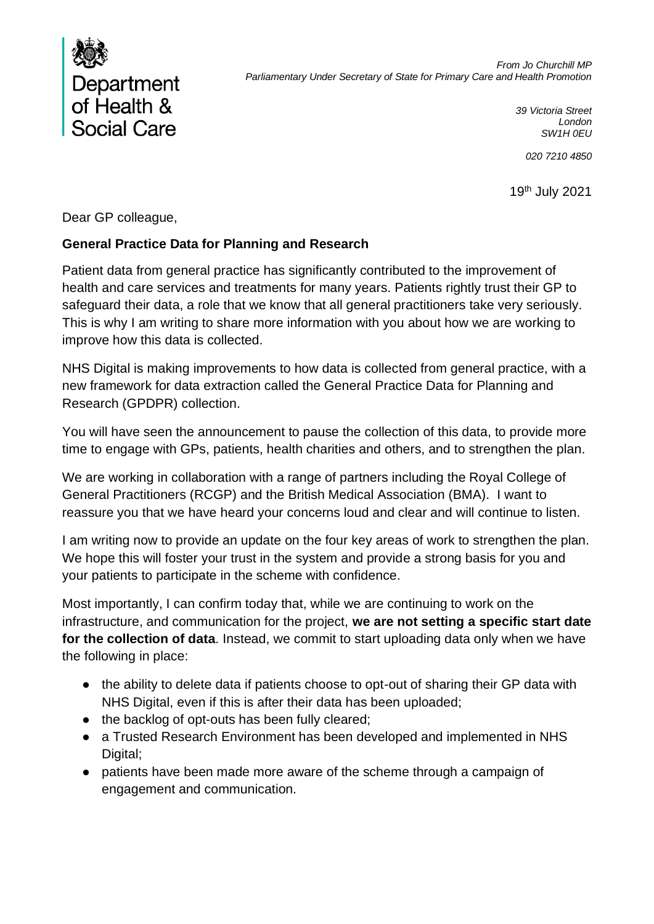

*39 Victoria Street London SW1H 0EU*

*020 7210 4850*

19 th July 2021

Dear GP colleague,

## **General Practice Data for Planning and Research**

Patient data from general practice has significantly contributed to the improvement of health and care services and treatments for many years. Patients rightly trust their GP to safeguard their data, a role that we know that all general practitioners take very seriously. This is why I am writing to share more information with you about how we are working to improve how this data is collected.

NHS Digital is making improvements to how data is collected from general practice, with a new framework for data extraction called the General Practice Data for Planning and Research (GPDPR) collection.

You will have seen the announcement to pause the collection of this data, to provide more time to engage with GPs, patients, health charities and others, and to strengthen the plan.

We are working in collaboration with a range of partners including the Royal College of General Practitioners (RCGP) and the British Medical Association (BMA). I want to reassure you that we have heard your concerns loud and clear and will continue to listen.

I am writing now to provide an update on the four key areas of work to strengthen the plan. We hope this will foster your trust in the system and provide a strong basis for you and your patients to participate in the scheme with confidence.

Most importantly, I can confirm today that, while we are continuing to work on the infrastructure, and communication for the project, **we are not setting a specific start date for the collection of data**. Instead, we commit to start uploading data only when we have the following in place:

- the ability to delete data if patients choose to opt-out of sharing their GP data with NHS Digital, even if this is after their data has been uploaded;
- the backlog of opt-outs has been fully cleared;
- a Trusted Research Environment has been developed and implemented in NHS Digital;
- patients have been made more aware of the scheme through a campaign of engagement and communication.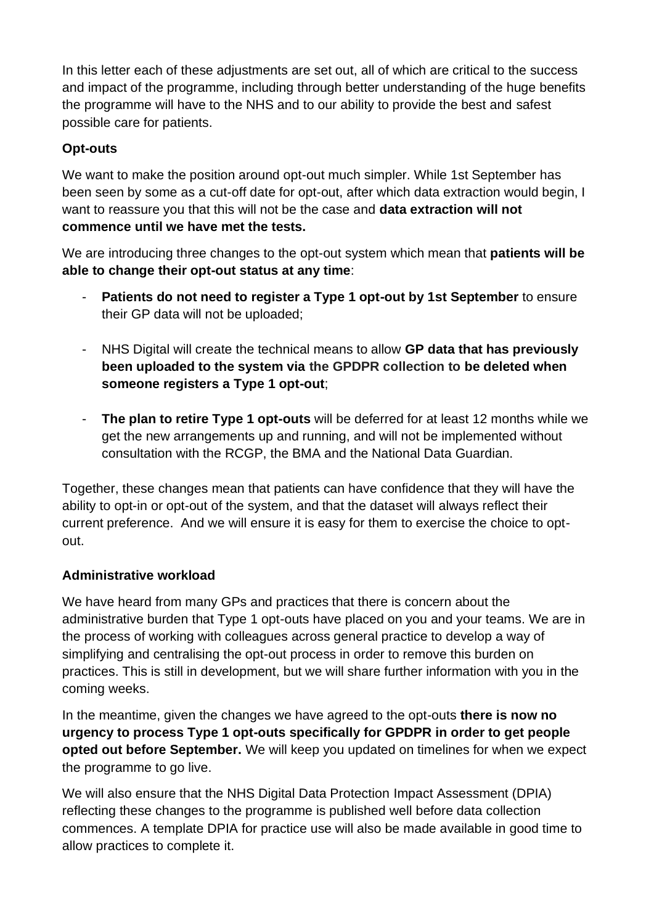In this letter each of these adjustments are set out, all of which are critical to the success and impact of the programme, including through better understanding of the huge benefits the programme will have to the NHS and to our ability to provide the best and safest possible care for patients.

# **Opt-outs**

We want to make the position around opt-out much simpler. While 1st September has been seen by some as a cut-off date for opt-out, after which data extraction would begin, I want to reassure you that this will not be the case and **data extraction will not commence until we have met the tests.**

We are introducing three changes to the opt-out system which mean that **patients will be able to change their opt-out status at any time**:

- Patients do not need to register a Type 1 opt-out by 1st September to ensure their GP data will not be uploaded;
- NHS Digital will create the technical means to allow **GP data that has previously been uploaded to the system via the GPDPR collection to be deleted when someone registers a Type 1 opt-out**;
- **The plan to retire Type 1 opt-outs** will be deferred for at least 12 months while we get the new arrangements up and running, and will not be implemented without consultation with the RCGP, the BMA and the National Data Guardian.

Together, these changes mean that patients can have confidence that they will have the ability to opt-in or opt-out of the system, and that the dataset will always reflect their current preference. And we will ensure it is easy for them to exercise the choice to optout.

## **Administrative workload**

We have heard from many GPs and practices that there is concern about the administrative burden that Type 1 opt-outs have placed on you and your teams. We are in the process of working with colleagues across general practice to develop a way of simplifying and centralising the opt-out process in order to remove this burden on practices. This is still in development, but we will share further information with you in the coming weeks.

In the meantime, given the changes we have agreed to the opt-outs **there is now no urgency to process Type 1 opt-outs specifically for GPDPR in order to get people opted out before September.** We will keep you updated on timelines for when we expect the programme to go live.

We will also ensure that the NHS Digital Data Protection Impact Assessment (DPIA) reflecting these changes to the programme is published well before data collection commences. A template DPIA for practice use will also be made available in good time to allow practices to complete it.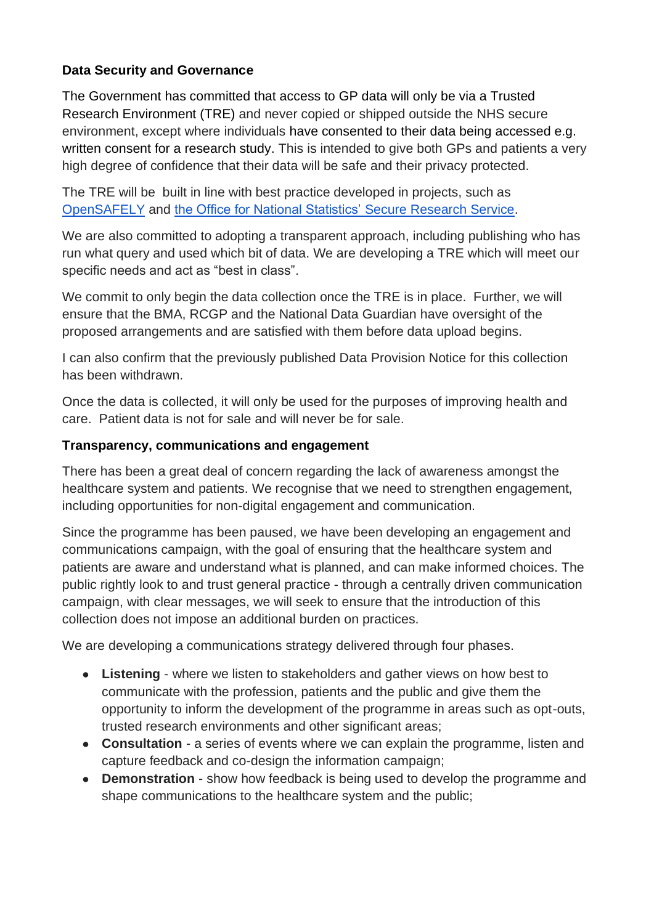## **Data Security and Governance**

The Government has committed that access to GP data will only be via a Trusted Research Environment (TRE) and never copied or shipped outside the NHS secure environment, except where individuals have consented to their data being accessed e.g. written consent for a research study. This is intended to give both GPs and patients a very high degree of confidence that their data will be safe and their privacy protected.

The TRE will be built in line with best practice developed in projects, such as [OpenSAFELY](https://www.opensafely.org/) and [the Office for National Statistics'](https://www.ons.gov.uk/aboutus/whatwedo/statistics/requestingstatistics/approvedresearcherscheme) [Secure Research Service.](https://www.ons.gov.uk/aboutus/whatwedo/statistics/requestingstatistics/approvedresearcherscheme)

We are also committed to adopting a transparent approach, including publishing who has run what query and used which bit of data. We are developing a TRE which will meet our specific needs and act as "best in class".

We commit to only begin the data collection once the TRE is in place. Further, we will ensure that the BMA, RCGP and the National Data Guardian have oversight of the proposed arrangements and are satisfied with them before data upload begins.

I can also confirm that the previously published Data Provision Notice for this collection has been withdrawn.

Once the data is collected, it will only be used for the purposes of improving health and care. Patient data is not for sale and will never be for sale.

### **Transparency, communications and engagement**

There has been a great deal of concern regarding the lack of awareness amongst the healthcare system and patients. We recognise that we need to strengthen engagement, including opportunities for non-digital engagement and communication.

Since the programme has been paused, we have been developing an engagement and communications campaign, with the goal of ensuring that the healthcare system and patients are aware and understand what is planned, and can make informed choices. The public rightly look to and trust general practice - through a centrally driven communication campaign, with clear messages, we will seek to ensure that the introduction of this collection does not impose an additional burden on practices.

We are developing a communications strategy delivered through four phases.

- **Listening** where we listen to stakeholders and gather views on how best to communicate with the profession, patients and the public and give them the opportunity to inform the development of the programme in areas such as opt-outs, trusted research environments and other significant areas;
- **Consultation** a series of events where we can explain the programme, listen and capture feedback and co-design the information campaign;
- **Demonstration** show how feedback is being used to develop the programme and shape communications to the healthcare system and the public;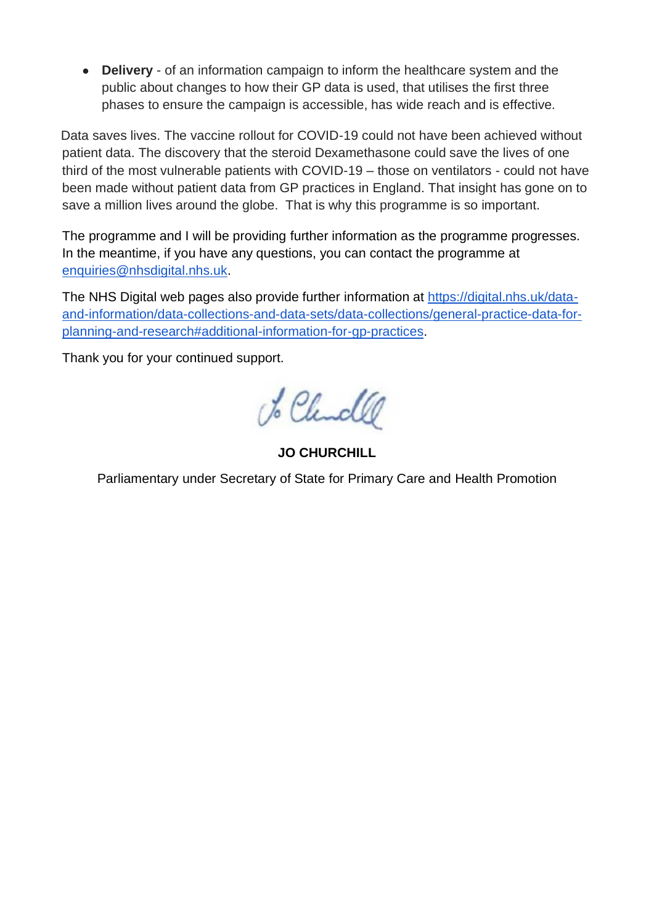● **Delivery** - of an information campaign to inform the healthcare system and the public about changes to how their GP data is used, that utilises the first three phases to ensure the campaign is accessible, has wide reach and is effective.

 Data saves lives. The vaccine rollout for COVID-19 could not have been achieved without patient data. The discovery that the steroid Dexamethasone could save the lives of one third of the most vulnerable patients with COVID-19 – those on ventilators - could not have been made without patient data from GP practices in England. That insight has gone on to save a million lives around the globe. That is why this programme is so important.

The programme and I will be providing further information as the programme progresses. In the meantime, if you have any questions, you can contact the programme at [enquiries@nhsdigital.nhs.uk.](mailto:enquiries@nhsdigital.nhs.uk)

The NHS Digital web pages also provide further information at [https://digital.nhs.uk/data](https://digital.nhs.uk/data-and-information/data-collections-and-data-sets/data-collections/general-practice-data-for-planning-and-research#additional-information-for-gp-practices)[and-information/data-collections-and-data-sets/data-collections/general-practice-data-for](https://digital.nhs.uk/data-and-information/data-collections-and-data-sets/data-collections/general-practice-data-for-planning-and-research#additional-information-for-gp-practices)[planning-and-research#additional-information-for-gp-practices.](https://digital.nhs.uk/data-and-information/data-collections-and-data-sets/data-collections/general-practice-data-for-planning-and-research#additional-information-for-gp-practices)

Thank you for your continued support.

to Churchle

**JO CHURCHILL**

Parliamentary under Secretary of State for Primary Care and Health Promotion